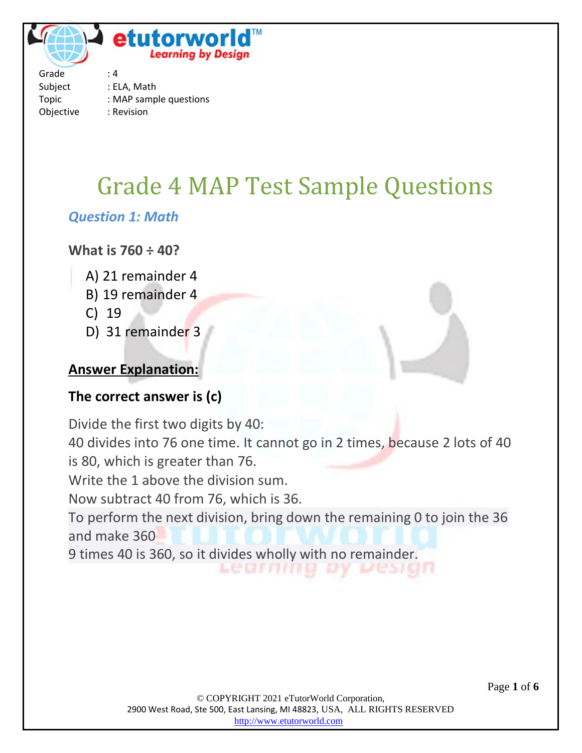

Grade : 4 Subject : ELA, Math Topic : MAP sample questions Objective : Revision

# Grade 4 MAP Test Sample Questions

#### *Question 1: Math*

#### **What is 760 ÷ 40?**

- A) 21 remainder 4
- B) 19 remainder 4
- C) 19
- D) 31 remainder 3

#### **Answer Explanation:**

#### **The correct answer is (c)**

Divide the first two digits by 40: 40 divides into 76 one time. It cannot go in 2 times, because 2 lots of 40 is 80, which is greater than 76. Write the 1 above the division sum. Now subtract 40 from 76, which is 36. To perform the next division, bring down the remaining 0 to join the 36 and make 360 9 times 40 is 360, so it divides wholly with no remainder.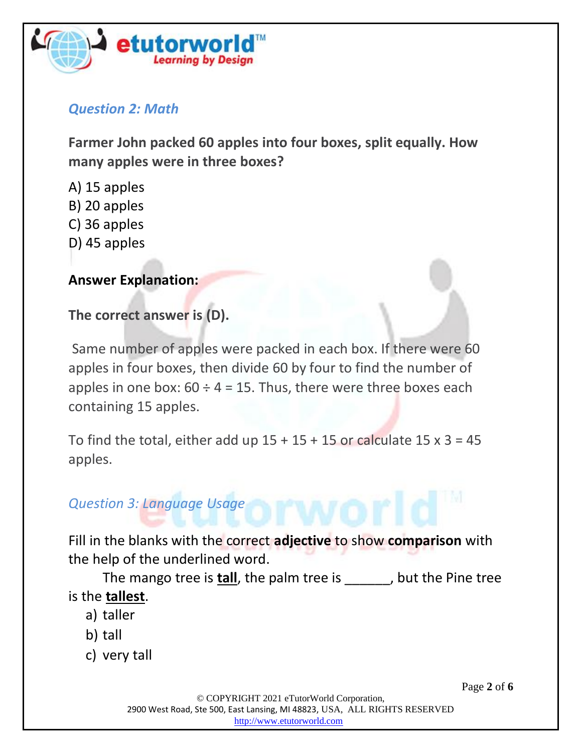

#### *Question 2: Math*

**Farmer John packed 60 apples into four boxes, split equally. How many apples were in three boxes?**

- A) 15 apples
- B) 20 apples
- C) 36 apples
- D) 45 apples

#### **Answer Explanation:**

**The correct answer is (D).**

Same number of apples were packed in each box. If there were 60 apples in four boxes, then divide 60 by four to find the number of apples in one box:  $60 \div 4 = 15$ . Thus, there were three boxes each containing 15 apples.

To find the total, either add up  $15 + 15 + 15$  or calculate  $15 \times 3 = 45$ apples.

## *Question 3: Language Usage*

Fill in the blanks with the correct **adjective** to show **comparison** with the help of the underlined word.

The mango tree is **tall**, the palm tree is \_\_\_\_\_\_, but the Pine tree is the **tallest**.

- a) taller
- b) tall
- c) very tall

Page **2** of **6**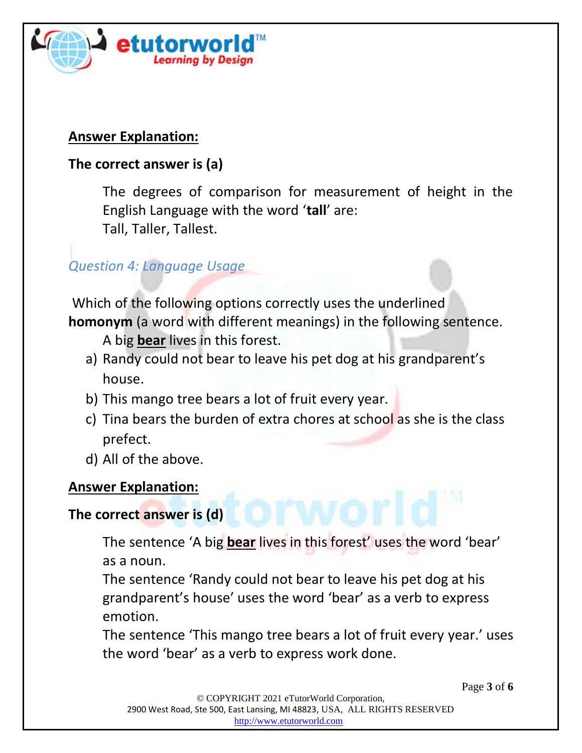

## **Answer Explanation:**

# **The correct answer is (a)**

The degrees of comparison for measurement of height in the English Language with the word '**tall**' are: Tall, Taller, Tallest.

# *Question 4: Language Usage*

Which of the following options correctly uses the underlined **homonym** (a word with different meanings) in the following sentence.

A big **bear** lives in this forest.

- a) Randy could not bear to leave his pet dog at his grandparent's house.
- b) This mango tree bears a lot of fruit every year.
- c) Tina bears the burden of extra chores at school as she is the class prefect.
- d) All of the above.

## **Answer Explanation:**

# **The correct answer is (d)**

The sentence 'A big **bear** lives in this forest' uses the word 'bear' as a noun.

The sentence 'Randy could not bear to leave his pet dog at his grandparent's house' uses the word 'bear' as a verb to express emotion.

The sentence 'This mango tree bears a lot of fruit every year.' uses the word 'bear' as a verb to express work done.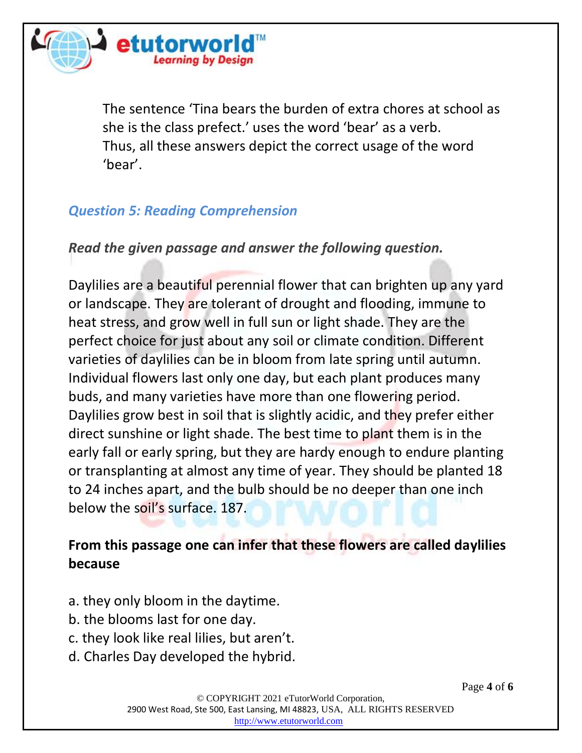

The sentence 'Tina bears the burden of extra chores at school as she is the class prefect.' uses the word 'bear' as a verb. Thus, all these answers depict the correct usage of the word 'bear'.

# *Question 5: Reading Comprehension*

*Read the given passage and answer the following question.*

Daylilies are a beautiful perennial flower that can brighten up any yard or landscape. They are tolerant of drought and flooding, immune to heat stress, and grow well in full sun or light shade. They are the perfect choice for just about any soil or climate condition. Different varieties of daylilies can be in bloom from late spring until autumn. Individual flowers last only one day, but each plant produces many buds, and many varieties have more than one flowering period. Daylilies grow best in soil that is slightly acidic, and they prefer either direct sunshine or light shade. The best time to plant them is in the early fall or early spring, but they are hardy enough to endure planting or transplanting at almost any time of year. They should be planted 18 to 24 inches apart, and the bulb should be no deeper than one inch below the soil's surface. 187.

# **From this passage one can infer that these flowers are called daylilies because**

- a. they only bloom in the daytime.
- b. the blooms last for one day.
- c. they look like real lilies, but aren't.
- d. Charles Day developed the hybrid.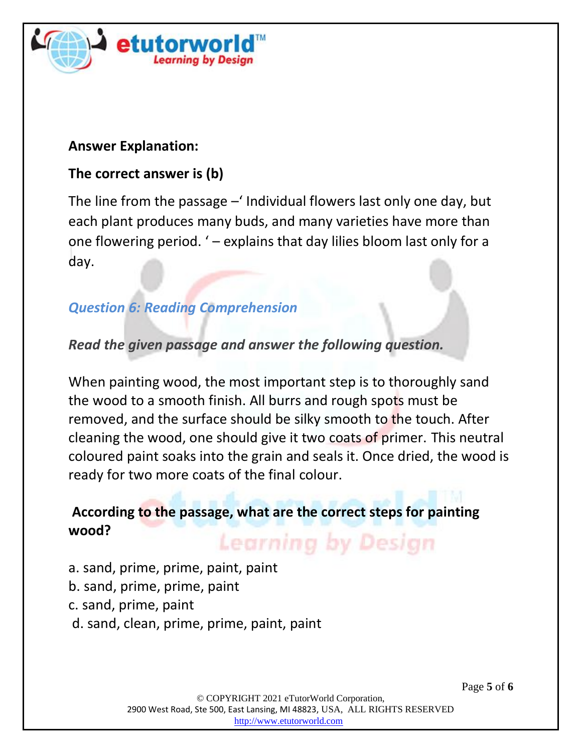

#### **Answer Explanation:**

#### **The correct answer is (b)**

The line from the passage –' Individual flowers last only one day, but each plant produces many buds, and many varieties have more than one flowering period. ' – explains that day lilies bloom last only for a day.

# *Question 6: Reading Comprehension*

#### *Read the given passage and answer the following question.*

When painting wood, the most important step is to thoroughly sand the wood to a smooth finish. All burrs and rough spots must be removed, and the surface should be silky smooth to the touch. After cleaning the wood, one should give it two coats of primer. This neutral coloured paint soaks into the grain and seals it. Once dried, the wood is ready for two more coats of the final colour.

#### **According to the passage, what are the correct steps for painting wood? Learning by Design**

- a. sand, prime, prime, paint, paint
- b. sand, prime, prime, paint
- c. sand, prime, paint
- d. sand, clean, prime, prime, paint, paint